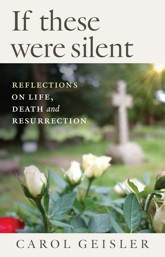## If these were silent

**REFLECTIONS** on life,  $\overline{\mathbf{D} \mathbf{E} \mathbf{A} \mathbf{T} \mathbf{H}}$  and **RESURRECTION** 

## CAROL GEISLER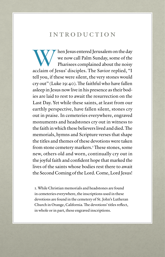## introduction

When Jesus entered Jerusalem on the day<br>we now call Palm Sunday, some of the<br>Pharisees complained about the noisy<br>acclaim of Jesus' disciples. The Savior replied "I we now call Palm Sunday, some of the Pharisees complained about the noisy acclaim of Jesus' disciples. The Savior replied, "I tell you, if these were silent, the very stones would cry out" (Luke 19:40). The faithful who have fallen asleep in Jesus now live in his presence as their bodies are laid to rest to await the resurrection on the Last Day. Yet while these saints, at least from our earthly perspective, have fallen silent, stones cry out in praise. In cemeteries everywhere, engraved monuments and headstones cry out in witness to the faith in which these believers lived and died. The memorials, hymns and Scripture verses that shape the titles and themes of these devotions were taken from stone cemetery markers.<sup>1</sup> These stones, some new, others old and worn, continually cry out in the joyful faith and confident hope that marked the lives of the saints whose bodies rest there to await the Second Coming of the Lord. Come, Lord Jesus!

1. While Christian memorials and headstones are found in cemeteries everywhere, the inscriptions used in these devotions are found in the cemetery of St. John's Lutheran Church in Orange, California. The devotions' titles reflect, in whole or in part, these engraved inscriptions.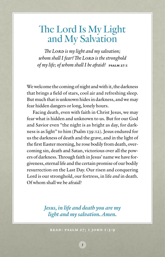## The Lord Is My Light and My Salvation

*The Lord is my light and my salvation; whom shall I fear? The LORD is the stronghold of my life; of whom shall I be afraid?* **PSALM 27:1** 

We welcome the coming of night and with it, the darkness that brings a field of stars, cool air and refreshing sleep. But much that is unknown hides in darkness, and we may fear hidden dangers or long, lonely hours.

Facing death, even with faith in Christ Jesus, we may fear what is hidden and unknown to us. But for our God and Savior even "the night is as bright as day, for darkness is as light" to him (Psalm 139:12). Jesus endured for us the darkness of death and the grave, and in the light of the first Easter morning, he rose bodily from death, overcoming sin, death and Satan, victorious over all the powers of darkness. Through faith in Jesus' name we have forgiveness, eternal life and the certain promise of our bodily resurrection on the Last Day. Our risen and conquering Lord is our stronghold, our fortress, in life *and* in death. Of whom shall we be afraid?

> *Jesus, in life and death you are my light and my salvation. Amen.*

Read: Psalm 27; 1 John 1:5-9